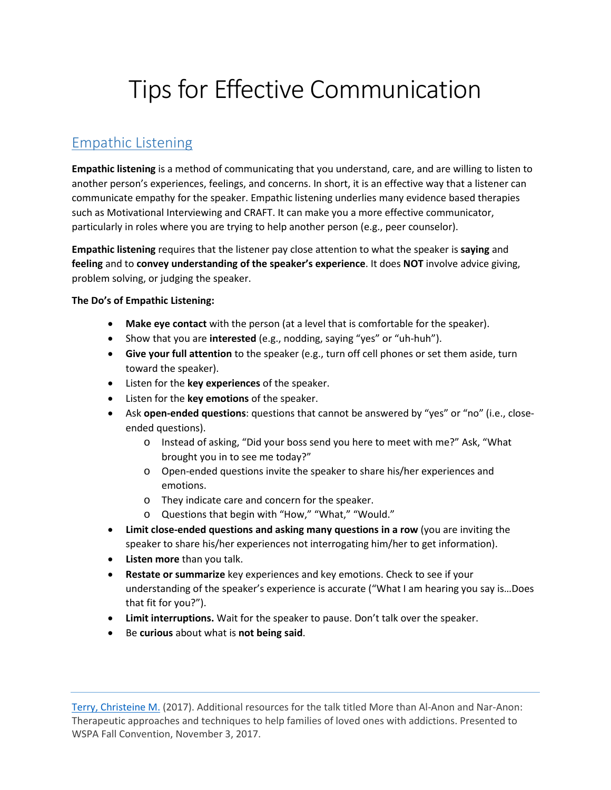# Tips for Effective Communication

## Empathic Listening

**Empathic listening** is a method of communicating that you understand, care, and are willing to listen to another person's experiences, feelings, and concerns. In short, it is an effective way that a listener can communicate empathy for the speaker. Empathic listening underlies many evidence based therapies such as Motivational Interviewing and CRAFT. It can make you a more effective communicator, particularly in roles where you are trying to help another person (e.g., peer counselor).

**Empathic listening** requires that the listener pay close attention to what the speaker is **saying** and **feeling** and to **convey understanding of the speaker's experience**. It does **NOT** involve advice giving, problem solving, or judging the speaker.

#### **The Do's of Empathic Listening:**

- **Make eye contact** with the person (at a level that is comfortable for the speaker).
- Show that you are **interested** (e.g., nodding, saying "yes" or "uh-huh").
- **Give your full attention** to the speaker (e.g., turn off cell phones or set them aside, turn toward the speaker).
- Listen for the **key experiences** of the speaker.
- Listen for the **key emotions** of the speaker.
- Ask **open-ended questions**: questions that cannot be answered by "yes" or "no" (i.e., closeended questions).
	- o Instead of asking, "Did your boss send you here to meet with me?" Ask, "What brought you in to see me today?"
	- o Open-ended questions invite the speaker to share his/her experiences and emotions.
	- o They indicate care and concern for the speaker.
	- o Questions that begin with "How," "What," "Would."
- **Limit close-ended questions and asking many questions in a row** (you are inviting the speaker to share his/her experiences not interrogating him/her to get information).
- **Listen more** than you talk.
- **Restate or summarize** key experiences and key emotions. Check to see if your understanding of the speaker's experience is accurate ("What I am hearing you say is…Does that fit for you?").
- **Limit interruptions.** Wait for the speaker to pause. Don't talk over the speaker.
- Be **curious** about what is **not being said**.

[Terry, Christeine M.](https://www.psychologytoday.com/us/therapists/christeine-terry-seattle-wa/86924) (2017). Additional resources for the talk titled More than Al-Anon and Nar-Anon: Therapeutic approaches and techniques to help families of loved ones with addictions. Presented to WSPA Fall Convention, November 3, 2017.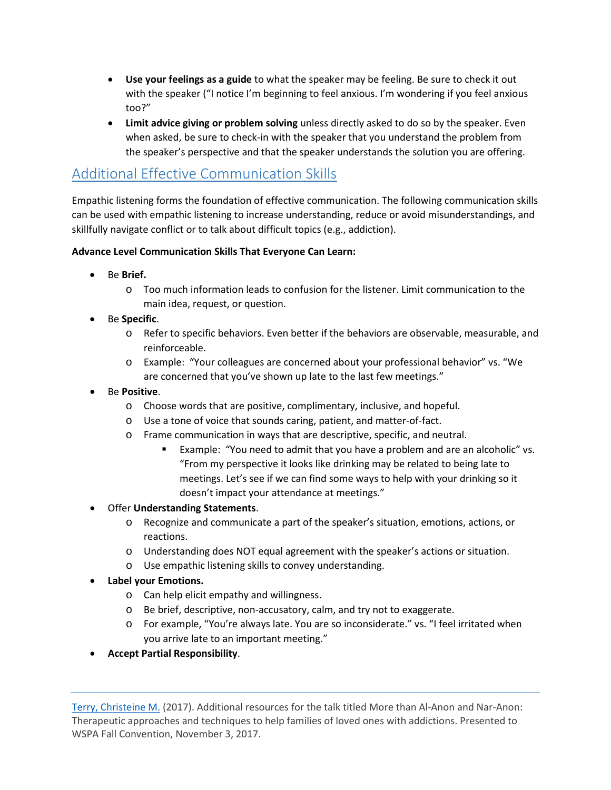- **Use your feelings as a guide** to what the speaker may be feeling. Be sure to check it out with the speaker ("I notice I'm beginning to feel anxious. I'm wondering if you feel anxious too?"
- **Limit advice giving or problem solving** unless directly asked to do so by the speaker. Even when asked, be sure to check-in with the speaker that you understand the problem from the speaker's perspective and that the speaker understands the solution you are offering.

## Additional Effective Communication Skills

Empathic listening forms the foundation of effective communication. The following communication skills can be used with empathic listening to increase understanding, reduce or avoid misunderstandings, and skillfully navigate conflict or to talk about difficult topics (e.g., addiction).

#### **Advance Level Communication Skills That Everyone Can Learn:**

- Be **Brief.**
	- o Too much information leads to confusion for the listener. Limit communication to the main idea, request, or question.
- Be **Specific**.
	- o Refer to specific behaviors. Even better if the behaviors are observable, measurable, and reinforceable.
	- o Example: "Your colleagues are concerned about your professional behavior" vs. "We are concerned that you've shown up late to the last few meetings."
- Be **Positive**.
	- o Choose words that are positive, complimentary, inclusive, and hopeful.
	- o Use a tone of voice that sounds caring, patient, and matter-of-fact.
	- o Frame communication in ways that are descriptive, specific, and neutral.
		- Example: "You need to admit that you have a problem and are an alcoholic" vs. "From my perspective it looks like drinking may be related to being late to meetings. Let's see if we can find some ways to help with your drinking so it doesn't impact your attendance at meetings."
- Offer **Understanding Statements**.
	- o Recognize and communicate a part of the speaker's situation, emotions, actions, or reactions.
	- o Understanding does NOT equal agreement with the speaker's actions or situation.
	- o Use empathic listening skills to convey understanding.
- **Label your Emotions.**
	- o Can help elicit empathy and willingness.
	- o Be brief, descriptive, non-accusatory, calm, and try not to exaggerate.
	- o For example, "You're always late. You are so inconsiderate." vs. "I feel irritated when you arrive late to an important meeting."
- **Accept Partial Responsibility**.